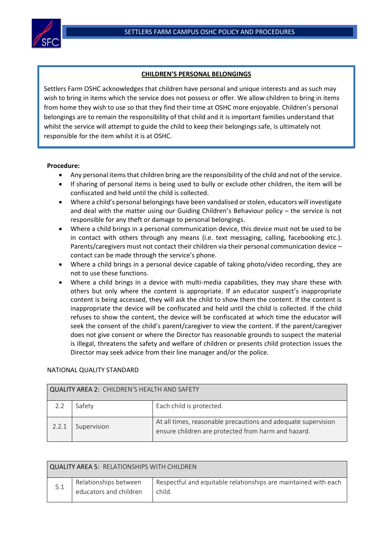

## **CHILDREN'S PERSONAL BELONGINGS**

 responsible for the item whilst it is at OSHC.Settlers Farm OSHC acknowledges that children have personal and unique interests and as such may wish to bring in items which the service does not possess or offer. We allow children to bring in items from home they wish to use so that they find their time at OSHC more enjoyable. Children's personal belongings are to remain the responsibility of that child and it is important families understand that whilst the service will attempt to guide the child to keep their belongings safe, is ultimately not

## **Procedure:**

 $\overline{a}$ 

- Any personal items that children bring are the responsibility of the child and not of the service.
- If sharing of personal items is being used to bully or exclude other children, the item will be confiscated and held until the child is collected.
- Where a child's personal belongings have been vandalised or stolen, educators will investigate and deal with the matter using our Guiding Children's Behaviour policy – the service is not responsible for any theft or damage to personal belongings.
- Where a child brings in a personal communication device, this device must not be used to be in contact with others through any means (i.e. text messaging, calling, facebooking etc.). Parents/caregivers must not contact their children via their personal communication device – contact can be made through the service's phone.
- Where a child brings in a personal device capable of taking photo/video recording, they are not to use these functions.
- Where a child brings in a device with multi-media capabilities, they may share these with others but only where the content is appropriate. If an educator suspect's inappropriate content is being accessed, they will ask the child to show them the content. If the content is inappropriate the device will be confiscated and held until the child is collected. If the child refuses to show the content, the device will be confiscated at which time the educator will seek the consent of the child's parent/caregiver to view the content. If the parent/caregiver does not give consent or where the Director has reasonable grounds to suspect the material is illegal, threatens the safety and welfare of children or presents child protection issues the Director may seek advice from their line manager and/or the police.

## NATIONAL QUALITY STANDARD

| <b>QUALITY AREA 2: CHILDREN'S HEALTH AND SAFETY</b> |             |                                                                                                                      |  |  |  |
|-----------------------------------------------------|-------------|----------------------------------------------------------------------------------------------------------------------|--|--|--|
| 2.2                                                 | Safety      | Each child is protected.                                                                                             |  |  |  |
| 2.2.1                                               | Supervision | At all times, reasonable precautions and adequate supervision<br>ensure children are protected from harm and hazard. |  |  |  |

| QUALITY AREA 5: RELATIONSHIPS WITH CHILDREN |                                                 |                                                                           |  |  |  |
|---------------------------------------------|-------------------------------------------------|---------------------------------------------------------------------------|--|--|--|
| 5.1                                         | Relationships between<br>educators and children | Respectful and equitable relationships are maintained with each<br>child. |  |  |  |